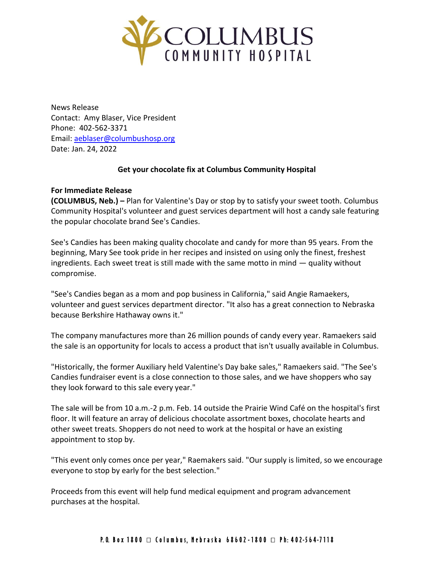

News Release Contact: Amy Blaser, Vice President Phone: 402-562-3371 Email: [aeblaser@columbushosp.org](mailto:aeblaser@columbushosp.org) Date: Jan. 24, 2022

## **Get your chocolate fix at Columbus Community Hospital**

## **For Immediate Release**

**(COLUMBUS, Neb.) –** Plan for Valentine's Day or stop by to satisfy your sweet tooth. Columbus Community Hospital's volunteer and guest services department will host a candy sale featuring the popular chocolate brand See's Candies.

See's Candies has been making quality chocolate and candy for more than 95 years. From the beginning, Mary See took pride in her recipes and insisted on using only the finest, freshest ingredients. Each sweet treat is still made with the same motto in mind — quality without compromise.

"See's Candies began as a mom and pop business in California," said Angie Ramaekers, volunteer and guest services department director. "It also has a great connection to Nebraska because Berkshire Hathaway owns it."

The company manufactures more than 26 million pounds of candy every year. Ramaekers said the sale is an opportunity for locals to access a product that isn't usually available in Columbus.

"Historically, the former Auxiliary held Valentine's Day bake sales," Ramaekers said. "The See's Candies fundraiser event is a close connection to those sales, and we have shoppers who say they look forward to this sale every year."

The sale will be from 10 a.m.-2 p.m. Feb. 14 outside the Prairie Wind Café on the hospital's first floor. It will feature an array of delicious chocolate assortment boxes, chocolate hearts and other sweet treats. Shoppers do not need to work at the hospital or have an existing appointment to stop by.

"This event only comes once per year," Raemakers said. "Our supply is limited, so we encourage everyone to stop by early for the best selection."

Proceeds from this event will help fund medical equipment and program advancement purchases at the hospital.

## P. O. Box 1800  $\Box$  Columbus, Nebraska 68602-1800  $\Box$  Ph: 402-564-7118